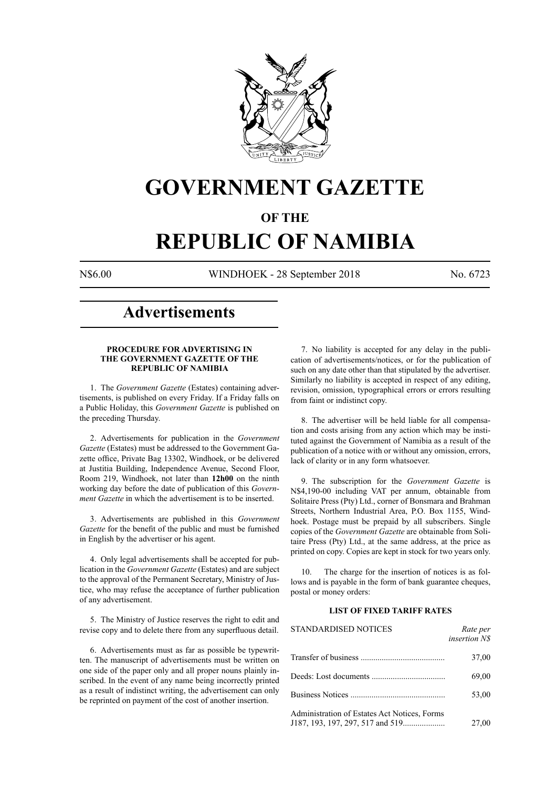

# **GOVERNMENT GAZETTE**

# **OF THE**

# **REPUBLIC OF NAMIBIA**

N\$6.00 WINDHOEK - 28 September 2018 No. 6723

# **Advertisements**

# **PROCEDURE FOR ADVERTISING IN THE GOVERNMENT GAZETTE OF THE REPUBLIC OF NAMIBIA**

1. The *Government Gazette* (Estates) containing advertisements, is published on every Friday. If a Friday falls on a Public Holiday, this *Government Gazette* is published on the preceding Thursday.

2. Advertisements for publication in the *Government Gazette* (Estates) must be addressed to the Government Gazette office, Private Bag 13302, Windhoek, or be delivered at Justitia Building, Independence Avenue, Second Floor, Room 219, Windhoek, not later than **12h00** on the ninth working day before the date of publication of this *Government Gazette* in which the advertisement is to be inserted.

3. Advertisements are published in this *Government Gazette* for the benefit of the public and must be furnished in English by the advertiser or his agent.

4. Only legal advertisements shall be accepted for publication in the *Government Gazette* (Estates) and are subject to the approval of the Permanent Secretary, Ministry of Justice, who may refuse the acceptance of further publication of any advertisement.

5. The Ministry of Justice reserves the right to edit and revise copy and to delete there from any superfluous detail.

6. Advertisements must as far as possible be typewritten. The manuscript of advertisements must be written on one side of the paper only and all proper nouns plainly inscribed. In the event of any name being incorrectly printed as a result of indistinct writing, the advertisement can only be reprinted on payment of the cost of another insertion.

7. No liability is accepted for any delay in the publication of advertisements/notices, or for the publication of such on any date other than that stipulated by the advertiser. Similarly no liability is accepted in respect of any editing, revision, omission, typographical errors or errors resulting from faint or indistinct copy.

8. The advertiser will be held liable for all compensation and costs arising from any action which may be instituted against the Government of Namibia as a result of the publication of a notice with or without any omission, errors, lack of clarity or in any form whatsoever.

9. The subscription for the *Government Gazette* is N\$4,190-00 including VAT per annum, obtainable from Solitaire Press (Pty) Ltd., corner of Bonsmara and Brahman Streets, Northern Industrial Area, P.O. Box 1155, Windhoek. Postage must be prepaid by all subscribers. Single copies of the *Government Gazette* are obtainable from Solitaire Press (Pty) Ltd., at the same address, at the price as printed on copy. Copies are kept in stock for two years only.

10. The charge for the insertion of notices is as follows and is payable in the form of bank guarantee cheques, postal or money orders:

# **LIST OF FIXED TARIFF RATES**

| <b>STANDARDISED NOTICES</b>                  | Rate per<br><i>insertion NS</i> |
|----------------------------------------------|---------------------------------|
|                                              | 37,00                           |
|                                              | 69,00                           |
|                                              | 53,00                           |
| Administration of Estates Act Notices, Forms | 27,00                           |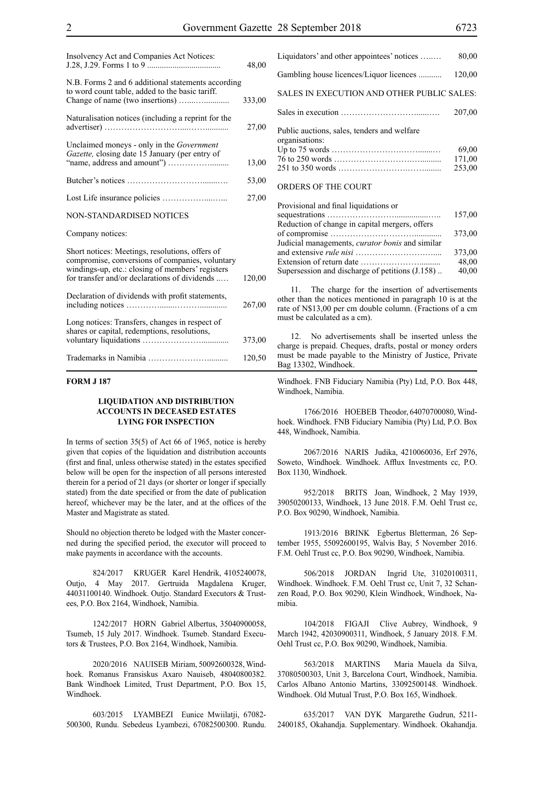| Insolvency Act and Companies Act Notices:                                                                                                                                                               | 48,00  |
|---------------------------------------------------------------------------------------------------------------------------------------------------------------------------------------------------------|--------|
| N.B. Forms 2 and 6 additional statements according<br>to word count table, added to the basic tariff.                                                                                                   | 333,00 |
| Naturalisation notices (including a reprint for the                                                                                                                                                     | 27,00  |
| Unclaimed moneys - only in the <i>Government</i><br>Gazette, closing date 15 January (per entry of                                                                                                      | 13,00  |
|                                                                                                                                                                                                         | 53,00  |
|                                                                                                                                                                                                         | 27,00  |
| <b>NON-STANDARDISED NOTICES</b>                                                                                                                                                                         |        |
| Company notices:                                                                                                                                                                                        |        |
| Short notices: Meetings, resolutions, offers of<br>compromise, conversions of companies, voluntary<br>windings-up, etc.: closing of members' registers<br>for transfer and/or declarations of dividends | 120,00 |
| Declaration of dividends with profit statements,                                                                                                                                                        | 267,00 |
| Long notices: Transfers, changes in respect of<br>shares or capital, redemptions, resolutions,                                                                                                          | 373,00 |
|                                                                                                                                                                                                         | 120,50 |

### **FORM J 187**

# **LIQUIDATION AND DISTRIBUTION ACCOUNTS IN DECEASED ESTATES LYING FOR INSPECTION**

In terms of section 35(5) of Act 66 of 1965, notice is hereby given that copies of the liquidation and distribution accounts (first and final, unless otherwise stated) in the estates specified below will be open for the inspection of all persons interested therein for a period of 21 days (or shorter or longer if specially stated) from the date specified or from the date of publication hereof, whichever may be the later, and at the offices of the Master and Magistrate as stated.

Should no objection thereto be lodged with the Master concerned during the specified period, the executor will proceed to make payments in accordance with the accounts.

824/2017 KRUGER Karel Hendrik, 4105240078, Outjo, 4 May 2017. Gertruida Magdalena Kruger, 44031100140. Windhoek. Outjo. Standard Executors & Trustees, P.O. Box 2164, Windhoek, Namibia.

1242/2017 HORN Gabriel Albertus, 35040900058, Tsumeb, 15 July 2017. Windhoek. Tsumeb. Standard Executors & Trustees, P.O. Box 2164, Windhoek, Namibia.

2020/2016 NAUISEB Miriam, 50092600328, Windhoek. Romanus Fransiskus Axaro Nauiseb, 48040800382. Bank Windhoek Limited, Trust Department, P.O. Box 15, Windhoek.

603/2015 LYAMBEZI Eunice Mwiilatji, 67082- 500300, Rundu. Sebedeus Lyambezi, 67082500300. Rundu.

| Liquidators' and other appointees' notices                    | 80,00  |
|---------------------------------------------------------------|--------|
| Gambling house licences/Liquor licences                       | 120,00 |
| SALES IN EXECUTION AND OTHER PUBLIC SALES:                    |        |
|                                                               | 207,00 |
| Public auctions, sales, tenders and welfare<br>organisations: | 69,00  |
|                                                               | 171,00 |
| ORDERS OF THE COURT                                           | 253,00 |

| Provisional and final liquidations or                  |        |
|--------------------------------------------------------|--------|
|                                                        | 157,00 |
| Reduction of change in capital mergers, offers         |        |
|                                                        | 373,00 |
| Judicial managements, <i>curator bonis</i> and similar |        |
|                                                        | 373,00 |
|                                                        | 48,00  |
| Supersession and discharge of petitions (J.158)        | 40,00  |
|                                                        |        |

11. The charge for the insertion of advertisements other than the notices mentioned in paragraph 10 is at the rate of N\$13,00 per cm double column. (Fractions of a cm must be calculated as a cm).

12. No advertisements shall be inserted unless the charge is prepaid. Cheques, drafts, postal or money orders must be made payable to the Ministry of Justice, Private Bag 13302, Windhoek.

Windhoek. FNB Fiduciary Namibia (Pty) Ltd, P.O. Box 448, Windhoek, Namibia.

1766/2016 HOEBEB Theodor, 64070700080, Windhoek. Windhoek. FNB Fiduciary Namibia (Pty) Ltd, P.O. Box 448, Windhoek, Namibia.

2067/2016 NARIS Judika, 4210060036, Erf 2976, Soweto, Windhoek. Windhoek. Afflux Investments cc, P.O. Box 1130, Windhoek.

952/2018 BRITS Joan, Windhoek, 2 May 1939, 39050200133, Windhoek, 13 June 2018. F.M. Oehl Trust cc, P.O. Box 90290, Windhoek, Namibia.

1913/2016 BRINK Egbertus Bletterman, 26 September 1955, 55092600195, Walvis Bay, 5 November 2016. F.M. Oehl Trust cc, P.O. Box 90290, Windhoek, Namibia.

506/2018 JORDAN Ingrid Ute, 31020100311, Windhoek. Windhoek. F.M. Oehl Trust cc, Unit 7, 32 Schanzen Road, P.O. Box 90290, Klein Windhoek, Windhoek, Namibia.

104/2018 FIGAJI Clive Aubrey, Windhoek, 9 March 1942, 42030900311, Windhoek, 5 January 2018. F.M. Oehl Trust cc, P.O. Box 90290, Windhoek, Namibia.

563/2018 MARTINS Maria Mauela da Silva, 37080500303, Unit 3, Barcelona Court, Windhoek, Namibia. Carlos Albano Antonio Martins, 33092500148. Windhoek. Windhoek. Old Mutual Trust, P.O. Box 165, Windhoek.

635/2017 VAN DYK Margarethe Gudrun, 5211- 2400185, Okahandja. Supplementary. Windhoek. Okahandja.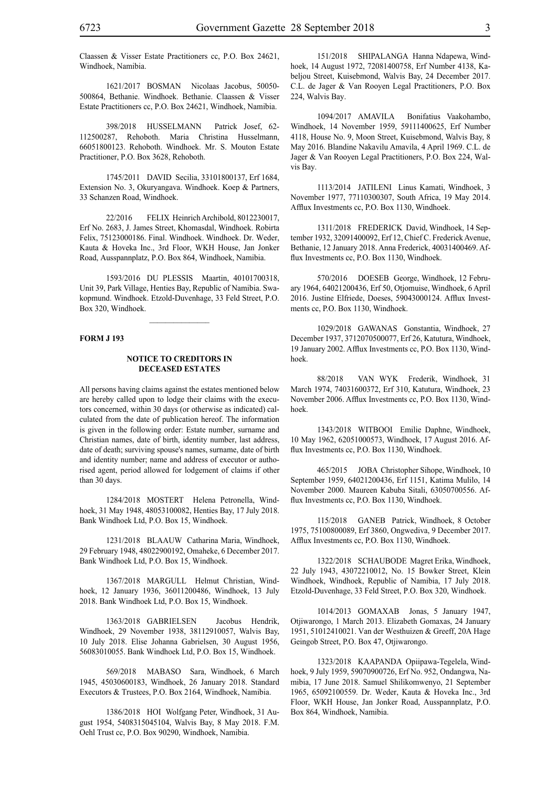Claassen & Visser Estate Practitioners cc, P.O. Box 24621, Windhoek, Namibia.

1621/2017 BOSMAN Nicolaas Jacobus, 50050- 500864, Bethanie. Windhoek. Bethanie. Claassen & Visser Estate Practitioners cc, P.O. Box 24621, Windhoek, Namibia.

398/2018 HUSSELMANN Patrick Josef, 62- 112500287, Rehoboth. Maria Christina Husselmann, 66051800123. Rehoboth. Windhoek. Mr. S. Mouton Estate Practitioner, P.O. Box 3628, Rehoboth.

1745/2011 DAVID Secilia, 33101800137, Erf 1684, Extension No. 3, Okuryangava. Windhoek. Koep & Partners, 33 Schanzen Road, Windhoek.

22/2016 FELIX Heinrich Archibold, 8012230017, Erf No. 2683, J. James Street, Khomasdal, Windhoek. Robirta Felix, 75123000186. Final. Windhoek. Windhoek. Dr. Weder, Kauta & Hoveka Inc., 3rd Floor, WKH House, Jan Jonker Road, Ausspannplatz, P.O. Box 864, Windhoek, Namibia.

1593/2016 DU PLESSIS Maartin, 40101700318, Unit 39, Park Village, Henties Bay, Republic of Namibia. Swakopmund. Windhoek. Etzold-Duvenhage, 33 Feld Street, P.O. Box 320, Windhoek.

#### **FORM J 193**

#### **NOTICE TO CREDITORS IN DECEASED ESTATES**

All persons having claims against the estates mentioned below are hereby called upon to lodge their claims with the executors concerned, within 30 days (or otherwise as indicated) calculated from the date of publication hereof. The information is given in the following order: Estate number, surname and Christian names, date of birth, identity number, last address, date of death; surviving spouse's names, surname, date of birth and identity number; name and address of executor or authorised agent, period allowed for lodgement of claims if other than 30 days.

1284/2018 MOSTERT Helena Petronella, Windhoek, 31 May 1948, 48053100082, Henties Bay, 17 July 2018. Bank Windhoek Ltd, P.O. Box 15, Windhoek.

1231/2018 BLAAUW Catharina Maria, Windhoek, 29 February 1948, 48022900192, Omaheke, 6 December 2017. Bank Windhoek Ltd, P.O. Box 15, Windhoek.

1367/2018 MARGULL Helmut Christian, Windhoek, 12 January 1936, 36011200486, Windhoek, 13 July 2018. Bank Windhoek Ltd, P.O. Box 15, Windhoek.

1363/2018 GABRIELSEN Jacobus Hendrik, Windhoek, 29 November 1938, 38112910057, Walvis Bay, 10 July 2018. Elise Johanna Gabrielsen, 30 August 1956, 56083010055. Bank Windhoek Ltd, P.O. Box 15, Windhoek.

569/2018 MABASO Sara, Windhoek, 6 March 1945, 45030600183, Windhoek, 26 January 2018. Standard Executors & Trustees, P.O. Box 2164, Windhoek, Namibia.

1386/2018 HOI Wolfgang Peter, Windhoek, 31 August 1954, 5408315045104, Walvis Bay, 8 May 2018. F.M. Oehl Trust cc, P.O. Box 90290, Windhoek, Namibia.

151/2018 SHIPALANGA Hanna Ndapewa, Windhoek, 14 August 1972, 72081400758, Erf Number 4138, Kabeljou Street, Kuisebmond, Walvis Bay, 24 December 2017. C.L. de Jager & Van Rooyen Legal Practitioners, P.O. Box 224, Walvis Bay.

1094/2017 AMAVILA Bonifatius Vaakohambo, Windhoek, 14 November 1959, 59111400625, Erf Number 4118, House No. 9, Moon Street, Kuisebmond, Walvis Bay, 8 May 2016. Blandine Nakavilu Amavila, 4 April 1969. C.L. de Jager & Van Rooyen Legal Practitioners, P.O. Box 224, Walvis Bay.

1113/2014 JATILENI Linus Kamati, Windhoek, 3 November 1977, 77110300307, South Africa, 19 May 2014. Afflux Investments cc, P.O. Box 1130, Windhoek.

1311/2018 FREDERICK David, Windhoek, 14 September 1932, 32091400092, Erf 12, Chief C. Frederick Avenue, Bethanie, 12 January 2018. Anna Frederick, 40031400469. Afflux Investments cc, P.O. Box 1130, Windhoek.

570/2016 DOESEB George, Windhoek, 12 February 1964, 64021200436, Erf 50, Otjomuise, Windhoek, 6 April 2016. Justine Elfriede, Doeses, 59043000124. Afflux Investments cc, P.O. Box 1130, Windhoek.

1029/2018 GAWANAS Gonstantia, Windhoek, 27 December 1937, 3712070500077, Erf 26, Katutura, Windhoek, 19 January 2002. Afflux Investments cc, P.O. Box 1130, Windhoek.

88/2018 VAN WYK Frederik, Windhoek, 31 March 1974, 74031600372, Erf 310, Katutura, Windhoek, 23 November 2006. Afflux Investments cc, P.O. Box 1130, Windhoek.

1343/2018 WITBOOI Emilie Daphne, Windhoek, 10 May 1962, 62051000573, Windhoek, 17 August 2016. Afflux Investments cc, P.O. Box 1130, Windhoek.

465/2015 JOBA Christopher Sihope, Windhoek, 10 September 1959, 64021200436, Erf 1151, Katima Mulilo, 14 November 2000. Maureen Kabuba Sitali, 63050700556. Afflux Investments cc, P.O. Box 1130, Windhoek.

115/2018 GANEB Patrick, Windhoek, 8 October 1975, 75100800089, Erf 3860, Ongwediva, 9 December 2017. Afflux Investments cc, P.O. Box 1130, Windhoek.

1322/2018 SCHAUBODE Magret Erika, Windhoek, 22 July 1943, 43072210012, No. 15 Bowker Street, Klein Windhoek, Windhoek, Republic of Namibia, 17 July 2018. Etzold-Duvenhage, 33 Feld Street, P.O. Box 320, Windhoek.

1014/2013 GOMAXAB Jonas, 5 January 1947, Otjiwarongo, 1 March 2013. Elizabeth Gomaxas, 24 January 1951, 51012410021. Van der Westhuizen & Greeff, 20A Hage Geingob Street, P.O. Box 47, Otjiwarongo.

1323/2018 KAAPANDA Opiipawa-Tegelela, Windhoek, 9 July 1959, 59070900726, Erf No. 952, Ondangwa, Namibia, 17 June 2018. Samuel Shilikomwenyo, 21 September 1965, 65092100559. Dr. Weder, Kauta & Hoveka Inc., 3rd Floor, WKH House, Jan Jonker Road, Ausspannplatz, P.O. Box 864, Windhoek, Namibia.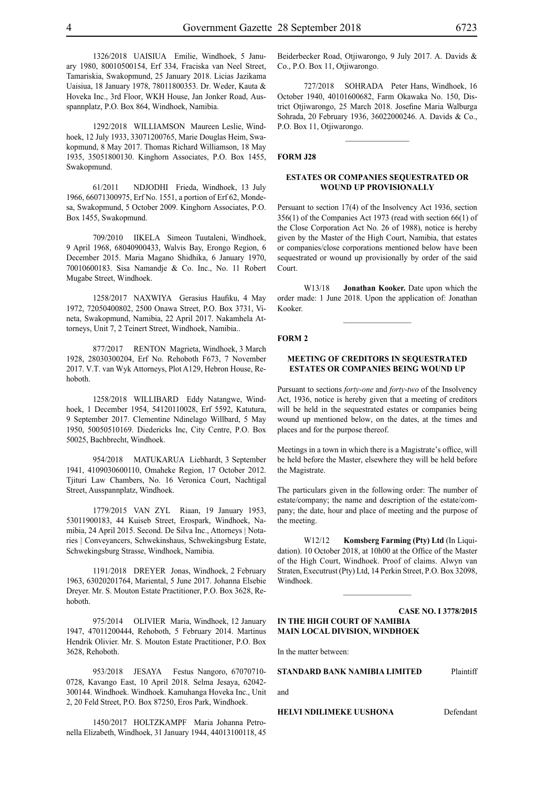1326/2018 UAISIUA Emilie, Windhoek, 5 January 1980, 80010500154, Erf 334, Fraciska van Neel Street, Tamariskia, Swakopmund, 25 January 2018. Licias Jazikama Uaisiua, 18 January 1978, 78011800353. Dr. Weder, Kauta & Hoveka Inc., 3rd Floor, WKH House, Jan Jonker Road, Ausspannplatz, P.O. Box 864, Windhoek, Namibia.

1292/2018 WILLIAMSON Maureen Leslie, Windhoek, 12 July 1933, 33071200765, Marie Douglas Heim, Swakopmund, 8 May 2017. Thomas Richard Williamson, 18 May 1935, 35051800130. Kinghorn Associates, P.O. Box 1455, Swakopmund.

61/2011 NDJODHI Frieda, Windhoek, 13 July 1966, 66071300975, Erf No. 1551, a portion of Erf 62, Mondesa, Swakopmund, 5 October 2009. Kinghorn Associates, P.O. Box 1455, Swakopmund.

709/2010 IIKELA Simeon Tuutaleni, Windhoek, 9 April 1968, 68040900433, Walvis Bay, Erongo Region, 6 December 2015. Maria Magano Shidhika, 6 January 1970, 70010600183. Sisa Namandje & Co. Inc., No. 11 Robert Mugabe Street, Windhoek.

1258/2017 NAXWIYA Gerasius Haufiku, 4 May 1972, 72050400802, 2500 Onawa Street, P.O. Box 3731, Vineta, Swakopmund, Namibia, 22 April 2017. Nakamhela Attorneys, Unit 7, 2 Teinert Street, Windhoek, Namibia..

877/2017 RENTON Magrieta, Windhoek, 3 March 1928, 28030300204, Erf No. Rehoboth F673, 7 November 2017. V.T. van Wyk Attorneys, Plot A129, Hebron House, Rehoboth.

1258/2018 WILLIBARD Eddy Natangwe, Windhoek, 1 December 1954, 54120110028, Erf 5592, Katutura, 9 September 2017. Clementine Ndinelago Willbard, 5 May 1950, 50050510169. Diedericks Inc, City Centre, P.O. Box 50025, Bachbrecht, Windhoek.

954/2018 MATUKARUA Liebhardt, 3 September 1941, 4109030600110, Omaheke Region, 17 October 2012. Tjituri Law Chambers, No. 16 Veronica Court, Nachtigal Street, Ausspannplatz, Windhoek.

1779/2015 VAN ZYL Riaan, 19 January 1953, 53011900183, 44 Kuiseb Street, Erospark, Windhoek, Namibia, 24 April 2015. Second. De Silva Inc., Attorneys | Notaries | Conveyancers, Schwekinshaus, Schwekingsburg Estate, Schwekingsburg Strasse, Windhoek, Namibia.

1191/2018 DREYER Jonas, Windhoek, 2 February 1963, 63020201764, Mariental, 5 June 2017. Johanna Elsebie Dreyer. Mr. S. Mouton Estate Practitioner, P.O. Box 3628, Rehoboth.

975/2014 OLIVIER Maria, Windhoek, 12 January 1947, 47011200444, Rehoboth, 5 February 2014. Martinus Hendrik Olivier. Mr. S. Mouton Estate Practitioner, P.O. Box 3628, Rehoboth.

953/2018 JESAYA Festus Nangoro, 67070710- 0728, Kavango East, 10 April 2018. Selma Jesaya, 62042- 300144. Windhoek. Windhoek. Kamuhanga Hoveka Inc., Unit 2, 20 Feld Street, P.O. Box 87250, Eros Park, Windhoek.

1450/2017 HOLTZKAMPF Maria Johanna Petronella Elizabeth, Windhoek, 31 January 1944, 44013100118, 45 Beiderbecker Road, Otjiwarongo, 9 July 2017. A. Davids & Co., P.O. Box 11, Otjiwarongo.

727/2018 SOHRADA Peter Hans, Windhoek, 16 October 1940, 40101600682, Farm Okawaka No. 150, District Otjiwarongo, 25 March 2018. Josefine Maria Walburga Sohrada, 20 February 1936, 36022000246. A. Davids & Co., P.O. Box 11, Otjiwarongo.

 $\frac{1}{2}$ 

#### **FORM J28**

## **ESTATES OR COMPANIES SEQUESTRATED OR WOUND UP PROVISIONALLY**

Persuant to section 17(4) of the Insolvency Act 1936, section 356(1) of the Companies Act 1973 (read with section 66(1) of the Close Corporation Act No. 26 of 1988), notice is hereby given by the Master of the High Court, Namibia, that estates or companies/close corporations mentioned below have been sequestrated or wound up provisionally by order of the said Court.

W13/18 **Jonathan Kooker.** Date upon which the order made: 1 June 2018. Upon the application of: Jonathan Kooker.

#### **FORM 2**

#### **MEETING OF CREDITORS IN SEQUESTRATED ESTATES OR COMPANIES BEING WOUND UP**

Pursuant to sections *forty-one* and *forty-two* of the Insolvency Act, 1936, notice is hereby given that a meeting of creditors will be held in the sequestrated estates or companies being wound up mentioned below, on the dates, at the times and places and for the purpose thereof.

Meetings in a town in which there is a Magistrate's office, will be held before the Master, elsewhere they will be held before the Magistrate.

The particulars given in the following order: The number of estate/company; the name and description of the estate/company; the date, hour and place of meeting and the purpose of the meeting.

W12/12 **Komsberg Farming (Pty) Ltd** (In Liquidation). 10 October 2018, at 10h00 at the Office of the Master of the High Court, Windhoek. Proof of claims. Alwyn van Straten, Executrust (Pty) Ltd, 14 Perkin Street, P.O. Box 32098, Windhoek.

**Case NO. I 3778/2015 IN THE HIGH COURT OF NAMIBIA MAIN LOCAL DIVISION, WINDHOEK**

 $\frac{1}{2}$ 

In the matter between:

# **STANDARD BANK NAMIBIA LIMITED** Plaintiff

and

**HELVI NDILIMEKE UUSHONA** Defendant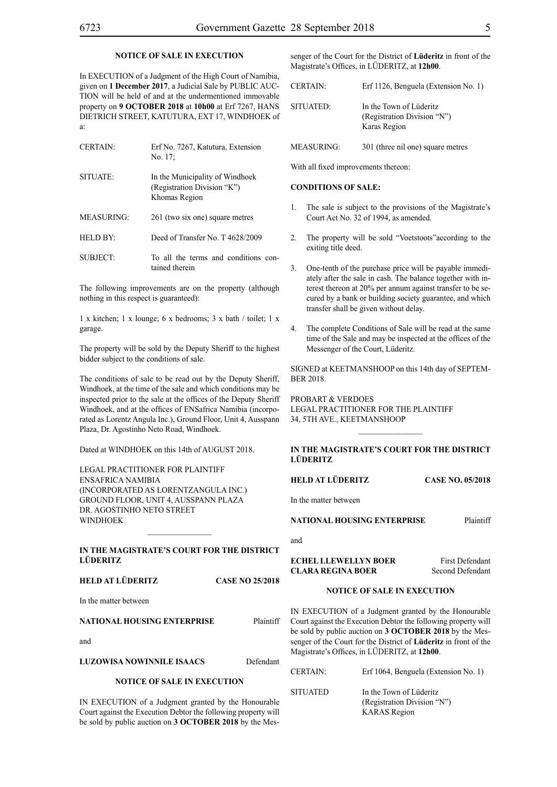# **NOTICE OF SALE IN EXECUTION**

In EXECUTION of a Judgment of the High Court of Namibia, given on **1 December 2017**, a Judicial Sale by PUBLIC AUC-TION will be held of and at the undermentioned immovable property on **9 OCTOBER 2018** at **10h00** at Erf 7267, HANS DIETRICH STREET, KATUTURA, EXT 17, WINDHOEK of a:

| <b>CERTAIN:</b>   | Erf No. 7267, Katutura, Extension<br>No. 17:                                    |
|-------------------|---------------------------------------------------------------------------------|
| SITUATE:          | In the Municipality of Windhoek<br>(Registration Division "K")<br>Khomas Region |
| <b>MEASURING:</b> | 261 (two six one) square metres                                                 |
| <b>HELD BY:</b>   | Deed of Transfer No. T 4628/2009                                                |
| SUBJECT:          | To all the terms and conditions con-<br>tained therein                          |

The following improvements are on the property (although nothing in this respect is guaranteed):

1 x kitchen; 1 x lounge; 6 x bedrooms; 3 x bath / toilet; 1 x garage.

The property will be sold by the Deputy Sheriff to the highest bidder subject to the conditions of sale.

The conditions of sale to be read out by the Deputy Sheriff, Windhoek, at the time of the sale and which conditions may be inspected prior to the sale at the offices of the Deputy Sheriff Windhoek, and at the offices of ENSafrica Namibia (incorporated as Lorentz Angula Inc.), Ground Floor, Unit 4, Ausspann Plaza, Dr. Agostinho Neto Road, Windhoek.

Dated at WINDHOEK on this 14th of AUGUST 2018.

Legal Practitioner for Plaintiff ENSafrica Namibia (incorporated as LorentzAngula Inc.) Ground Floor, Unit 4, Ausspann Plaza Dr. Agostinho Neto Street **WINDHOEK** 

# **IN THE MAGISTRATE'S COURT FOR THE DISTRICT LÜDERITZ**

 $\mathcal{L}=\mathcal{L}^{\mathcal{L}}$ 

# **HELD AT LÜDERITZ CASE NO 25/2018**

In the matter between

# **NATIONAL HOUSING ENTERPRISE** Plaintiff

and

| LUZOWISA NOWINNILE ISAACS | Defendant |
|---------------------------|-----------|
|                           |           |

#### **NOTICE OF SALE IN EXECUTION**

IN EXECUTION of a Judgment granted by the Honourable Court against the Execution Debtor the following property will be sold by public auction on **3 OCTOBER 2018** by the Messenger of the Court for the District of **Lüderitz** in front of the Magistrate's Offices, in LÜDERITZ, at **12h00**.

| <b>CERTAIN:</b> | Erf 1126, Benguela (Extension No. 1)                                   |
|-----------------|------------------------------------------------------------------------|
| SITUATED:       | In the Town of Lüderitz<br>(Registration Division "N")<br>Karas Region |

MEASURING: 301 (three nil one) square metres

With all fixed improvements thereon:

# **CONDITIONS OF SALE:**

- 1. The sale is subject to the provisions of the Magistrate's Court Act No. 32 of 1994, as amended.
- 2. The property will be sold "Voetstoots"according to the exiting title deed.
- 3. One-tenth of the purchase price will be payable immediately after the sale in cash. The balance together with interest thereon at 20% per annum against transfer to be secured by a bank or building society guarantee, and which transfer shall be given without delay.
- 4. The complete Conditions of Sale will be read at the same time of the Sale and may be inspected at the offices of the Messenger of the Court, Lüderitz.

SIGNED at KEETMANSHOOP on this 14th day of SEPTEM-BER 2018.

PROBART & VERDOES Legal Practitioner for the Plaintiff 34, 5th Ave., KEETMANSHOOP

# **IN THE MAGISTRATE'S COURT FOR THE DISTRICT LÜDERITZ**

 $\frac{1}{2}$ 

**HELD AT LÜDERITZ CASE NO. 05/2018**

In the matter between

**NATIONAL HOUSING ENTERPRISE** Plaintiff

| . |
|---|
|---|

# **ECHEL LLEWELLYN BOER** First Defendant **CLARA REGINA BOER** Second Defendant

# **NOTICE OF SALE IN EXECUTION**

IN EXECUTION of a Judgment granted by the Honourable Court against the Execution Debtor the following property will be sold by public auction on **3 OCTOBER 2018** by the Messenger of the Court for the District of **Lüderitz** in front of the Magistrate's Offices, in LÜDERITZ, at **12h00**.

| <b>CERTAIN:</b> | Erf 1064, Benguela (Extension No. 1)                                          |
|-----------------|-------------------------------------------------------------------------------|
| <b>SITUATED</b> | In the Town of Lüderitz<br>(Registration Division "N")<br><b>KARAS</b> Region |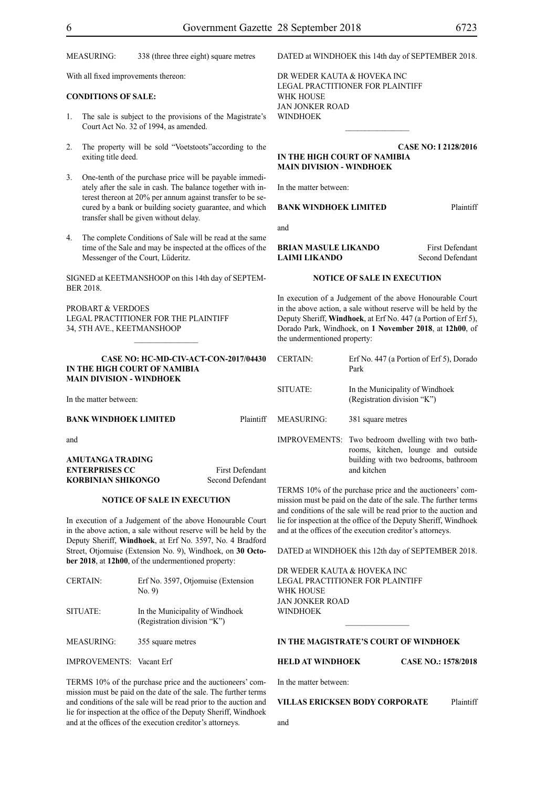MEASURING: 338 (three three eight) square metres

With all fixed improvements thereon:

#### **CONDITIONS OF SALE:**

- 1. The sale is subject to the provisions of the Magistrate's Court Act No. 32 of 1994, as amended.
- 2. The property will be sold "Voetstoots"according to the exiting title deed.
- 3. One-tenth of the purchase price will be payable immediately after the sale in cash. The balance together with interest thereon at 20% per annum against transfer to be secured by a bank or building society guarantee, and which transfer shall be given without delay.
- 4. The complete Conditions of Sale will be read at the same time of the Sale and may be inspected at the offices of the Messenger of the Court, Lüderitz.

SIGNED at KEETMANSHOOP on this 14th day of SEPTEM-BER 2018.

PROBART & VERDOES Legal Practitioner for the Plaintiff 34, 5th Ave., KEETMANSHOOP

#### **CASE NO: HC-MD-CIV-ACT-CON-2017/04430 IN THE HIGH COURT OF NAMIBIA MAIN DIVISION - WINDHOEK**

 $\frac{1}{2}$ 

In the matter between:

| <b>BANK WINDHOEK LIMITED</b> | Plaintiff              |
|------------------------------|------------------------|
| and                          |                        |
| AMUTANGA TRADING             |                        |
| <b>ENTERPRISES CC</b>        | <b>First Defendant</b> |

#### **NOTICE OF SALE IN EXECUTION**

**KORBINIAN SHIKONGO** Second Defendant

In execution of a Judgement of the above Honourable Court in the above action, a sale without reserve will be held by the Deputy Sheriff, **Windhoek**, at Erf No. 3597, No. 4 Bradford Street, Otjomuise (Extension No. 9), Windhoek, on **30 October 2018**, at **12h00**, of the undermentioned property:

| <b>CERTAIN:</b>                 | Erf No. 3597, Otjomuise (Extension<br>No. 9                    |
|---------------------------------|----------------------------------------------------------------|
| SITUATE:                        | In the Municipality of Windhoek<br>(Registration division "K") |
| <b>MEASURING:</b>               | 355 square metres                                              |
| <b>IMPROVEMENTS:</b> Vacant Erf |                                                                |

TERMS 10% of the purchase price and the auctioneers' commission must be paid on the date of the sale. The further terms and conditions of the sale will be read prior to the auction and lie for inspection at the office of the Deputy Sheriff, Windhoek and at the offices of the execution creditor's attorneys.

DATED at WINDHOEK this 14th day of SEPTEMBER 2018.

DR WEDER KAUTA & HOVEKA INC Legal Practitioner for Plaintiff WHK House Jan Jonker Road **WINDHOEK** 

# **CASE NO: I 2128/2016 IN THE HIGH COURT OF NAMIBIA MAIN DIVISION - WINDHOEK**

 $\frac{1}{2}$ 

In the matter between:

and

#### **BANK WINDHOEK LIMITED** Plaintiff

#### **BRIAN MASULE LIKANDO** First Defendant **LAIMI LIKANDO** Second Defendant

#### **NOTICE OF SALE IN EXECUTION**

In execution of a Judgement of the above Honourable Court in the above action, a sale without reserve will be held by the Deputy Sheriff, **Windhoek**, at Erf No. 447 (a Portion of Erf 5), Dorado Park, Windhoek, on **1 November 2018**, at **12h00**, of the undermentioned property:

| <b>CERTAIN:</b>   | Erf No. 447 (a Portion of Erf 5), Dorado<br>Park                                                                                               |
|-------------------|------------------------------------------------------------------------------------------------------------------------------------------------|
| SITUATE:          | In the Municipality of Windhoek<br>(Registration division "K")                                                                                 |
| <b>MEASURING:</b> | 381 square metres                                                                                                                              |
|                   | IMPROVEMENTS: Two bedroom dwelling with two bath-<br>rooms, kitchen, lounge and outside<br>building with two bedrooms, bathroom<br>and kitchen |

TERMS 10% of the purchase price and the auctioneers' commission must be paid on the date of the sale. The further terms and conditions of the sale will be read prior to the auction and lie for inspection at the office of the Deputy Sheriff, Windhoek and at the offices of the execution creditor's attorneys.

DATED at WINDHOEK this 12th day of SEPTEMBER 2018.

DR WEDER KAUTA & HOVEKA INC Legal Practitioner for Plaintiff WHK HOUSE Jan Jonker Road WINDHOEK

#### **IN THE MAGISTRATE'S COURT OF WINDHOEK**

**HELD AT WINDHOEK CASE NO.: 1578/2018**

In the matter between:

# **VILLAS ERICKSEN BODY CORPORATE** Plaintiff

and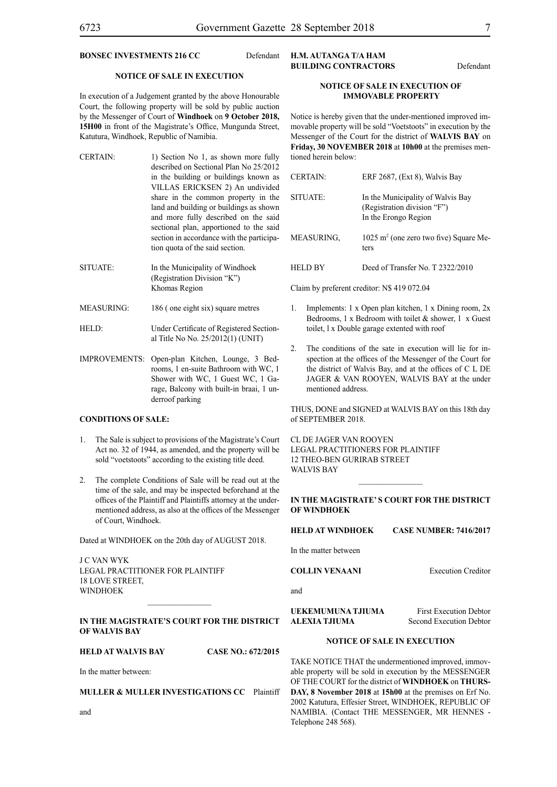# **BONSEC INVESTMENTS 216 CC** Defendant

#### **NOTICE OF SALE IN EXECUTION**

In execution of a Judgement granted by the above Honourable Court, the following property will be sold by public auction by the Messenger of Court of **Windhoek** on **9 October 2018, 15H00** in front of the Magistrate's Office, Mungunda Street, Katutura, Windhoek, Republic of Namibia.

- CERTAIN: 1) Section No 1, as shown more fully described on Sectional Plan No 25/2012 in the building or buildings known as VILLAS ERICKSEN 2) An undivided share in the common property in the land and building or buildings as shown and more fully described on the said sectional plan, apportioned to the said section in accordance with the participation quota of the said section.
- SITUATE: In the Municipality of Windhoek (Registration Division "K") Khomas Region
- MEASURING: 186 (one eight six) square metres
- HELD: Under Certificate of Registered Sectional Title No No. 25/2012(1) (UNIT)
- IMPROVEMENTS: Open-plan Kitchen, Lounge, 3 Bedrooms, 1 en-suite Bathroom with WC, 1 Shower with WC, 1 Guest WC, 1 Garage, Balcony with built-in braai, 1 underroof parking

# **CONDITIONS OF SALE:**

- 1. The Sale is subject to provisions of the Magistrate's Court Act no. 32 of 1944, as amended, and the property will be sold "voetstoots" according to the existing title deed.
- The complete Conditions of Sale will be read out at the time of the sale, and may be inspected beforehand at the offices of the Plaintiff and Plaintiffs attorney at the undermentioned address, as also at the offices of the Messenger of Court, Windhoek.

Dated at WINDHOEK on the 20th day of AUGUST 2018.

J C VAN WYK Legal Practitioner for Plaintiff 18 LOVE STREET, WINDHOEK

# **IN THE MAGISTRATE'S COURT FOR THE DISTRICT OF WALVIS BAY**

**HELD AT WALVIS BAY CASE NO.: 672/2015**

In the matter between:

**MULLER & MULLER INVESTIGATIONS CC** Plaintiff

# **H.M. AUTANGA T/A HAM BUILDING CONTRACTORS** Defendant

# **NOTICE OF SALE IN EXECUTION OF IMMOVABLE PROPERTY**

Notice is hereby given that the under-mentioned improved immovable property will be sold "Voetstoots" in execution by the Messenger of the Court for the district of **WALVIS BAY** on **Friday, 30 NOVEMBER 2018** at **10h00** at the premises mentioned herein below:

| <b>CERTAIN:</b> | ERF 2687, (Ext 8), Walvis Bay                                                            |
|-----------------|------------------------------------------------------------------------------------------|
| SITUATE:        | In the Municipality of Walvis Bay<br>(Registration division "F")<br>In the Erongo Region |
| MEASURING.      | $1025$ m <sup>2</sup> (one zero two five) Square Me-<br>ters                             |
| <b>HELD BY</b>  | Deed of Transfer No. T 2322/2010                                                         |

Claim by preferent creditor: N\$ 419 072.04

- 1. Implements: 1 x Open plan kitchen, 1 x Dining room, 2x Bedrooms, 1 x Bedroom with toilet  $&$  shower, 1 x Guest toilet, l x Double garage extented with roof
- 2. The conditions of the sate in execution will lie for inspection at the offices of the Messenger of the Court for the district of Walvis Bay, and at the offices of C L DE JAGER & VAN ROOYEN, WALVIS BAY at the under mentioned address.

THUS, DONE and SIGNED at WALVIS BAY on this 18th day of SEPTEMBER 2018.

CL DE JAGER VAN ROOYEN Legal Practitioners for Plaintiff 12 Theo-Ben Gurirab Street WALVIS BAY

# **IN THE MAGISTRATE' S COURT FOR THE DISTRICT OF WINDHOEK**

 $\frac{1}{2}$ 

| HELD AT WINDHOEK | <b>CASE NUMBER: 7416/2017</b> |
|------------------|-------------------------------|
|                  |                               |

In the matter between

**COLLIN VENAANI** Execution Creditor

and

**UEKEMUMUNA TJIUMA** First Execution Debtor **ALEXIA TJIUMA** Second Execution Debtor

# **NOTICE OF SALE IN EXECUTION**

TAKE NOTICE THAT the undermentioned improved, immovable property will be sold in execution by the MESSENGER OF THE COURT for the district of **WINDHOEK** on **THURS-DAY, 8 November 2018** at **15h00** at the premises on Erf No. 2002 Katutura, Effesier Street, WINDHOEK, REPUBLIC OF NAMIBIA. (Contact THE MESSENGER, MR HENNES - Telephone 248 568).

and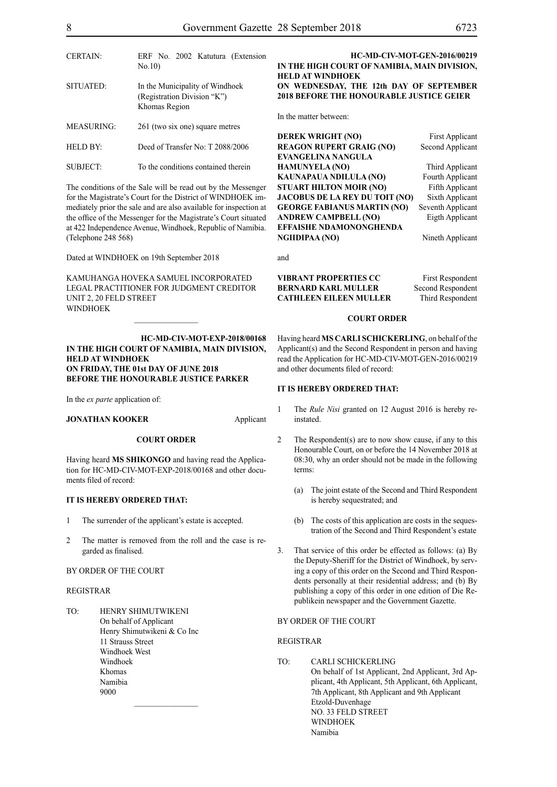| <b>CERTAIN:</b>   | ERF No. 2002 Katutura (Extension<br>No.10                                       | П                            |
|-------------------|---------------------------------------------------------------------------------|------------------------------|
| SITUATED:         | In the Municipality of Windhoek<br>(Registration Division "K")<br>Khomas Region | Н<br>O<br>$\mathbf{2}$<br>Īı |
| <b>MEASURING:</b> | 261 (two six one) square metres                                                 |                              |
| <b>HELD BY:</b>   | Deed of Transfer No: T 2088/2006                                                | D<br>R                       |
| SUBJECT:          | To the conditions contained therein                                             | E<br>Н                       |

The conditions of the Sale will be read out by the Messenger for the Magistrate's Court for the District of WINDHOEK immediately prior the sale and are also available for inspection at the office of the Messenger for the Magistrate's Court situated at 422 Independence Avenue, Windhoek, Republic of Namibia. (Telephone 248 568)

Dated at WINDHOEK on 19th September 2018

KAMUHANGA HOVEKA SAMUEL INCORPORATED LEGAL PRACTITIONER FOR JUDGMENT CREDITOR UNIT 2, 20 FELD STREET **WINDHOEK** 

# **HC-MD-CIV-MOT-EXP-2018/00168 IN THE HIGH COURT OF NAMIBIA, MAIN DIVISION, HELD AT WINDHOEK ON FRIDAY, THE 01st DAY OF JUNE 2018 BEFORE THE HONOURABLE JUSTICE PARKER**

In the *ex parte* application of:

# **JONATHAN KOOKER** Applicant

# **COURT ORDER**

Having heard **MS SHIKONGO** and having read the Application for HC-MD-CIV-MOT-EXP-2018/00168 and other documents filed of record:

# **IT IS HEREBY ORDERED THAT:**

- 1 The surrender of the applicant's estate is accepted.
- 2 The matter is removed from the roll and the case is regarded as finalised.

 $\frac{1}{2}$ 

BY ORDER OF THE COURT

# REGISTRAR

TO: HENRY SHIMUTWIKENI On behalf of Applicant Henry Shimutwikeni & Co Inc 11 Strauss Street Windhoek West Windhoek Khomas Namibia 9000

# **HC-MD-CIV-MOT-GEN-2016/00219 IN THE HIGH COURT OF NAMIBIA, MAIN DIVISION, HELD AT WINDHOEK ON WEDNESDAY, THE 12th DAY OF SEPTEMBER 2018 BEFORE THE HONOURABLE JUSTICE GEIER**

n the matter between:

**DEREK WRIGHT (NO)** First Applicant **REAGON RUPERT GRAIG (NO)** Second Applicant **EVANGELINA NANGULA HAMUNYELA (NO)** Third Applicant KAUNAPAUA NDILULA (NO) Fourth Applicant **STUART HILTON MOIR (NO)** Fifth Applicant **JACOBUS DE LA REY DU TOIT (NO)** Sixth Applicant **GEORGE FABIANUS MARTIN (NO)** Seventh Applicant **ANDREW CAMPBELL (NO)** Eigth Applicant **EFFAISHE NDAMONONGHENDA NGIIDIPAA (NO)** Nineth Applicant

and

# **VIBRANT PROPERTIES CC** First Respondent **BERNARD KARL MULLER** Second Respondent **CATHLEEN EILEEN MULLER** Third Respondent

#### **COURT ORDER**

Having heard **MS CARLI SCHICKERLING**, on behalf of the Applicant(s) and the Second Respondent in person and having read the Application for HC-MD-CIV-MOT-GEN-2016/00219 and other documents filed of record:

#### **IT IS HEREBY ORDERED THAT:**

- 1 The *Rule Nisi* granted on 12 August 2016 is hereby reinstated.
- 2 The Respondent(s) are to now show cause, if any to this Honourable Court, on or before the 14 November 2018 at 08:30, why an order should not be made in the following terms:
	- (a) The joint estate of the Second and Third Respondent is hereby sequestrated; and
	- (b) The costs of this application are costs in the sequestration of the Second and Third Respondent's estate
- 3. That service of this order be effected as follows: (a) By the Deputy-Sheriff for the District of Windhoek, by serving a copy of this order on the Second and Third Respondents personally at their residential address; and (b) By publishing a copy of this order in one edition of Die Republikein newspaper and the Government Gazette.

# BY ORDER OF THE COURT

# REGISTRAR

TO: CARLI SCHICKERLING On behalf of 1st Applicant, 2nd Applicant, 3rd Applicant, 4th Applicant, 5th Applicant, 6th Applicant, 7th Applicant, 8th Applicant and 9th Applicant Etzold-Duvenhage NO. 33 FELD STREET WINDHOEK Namibia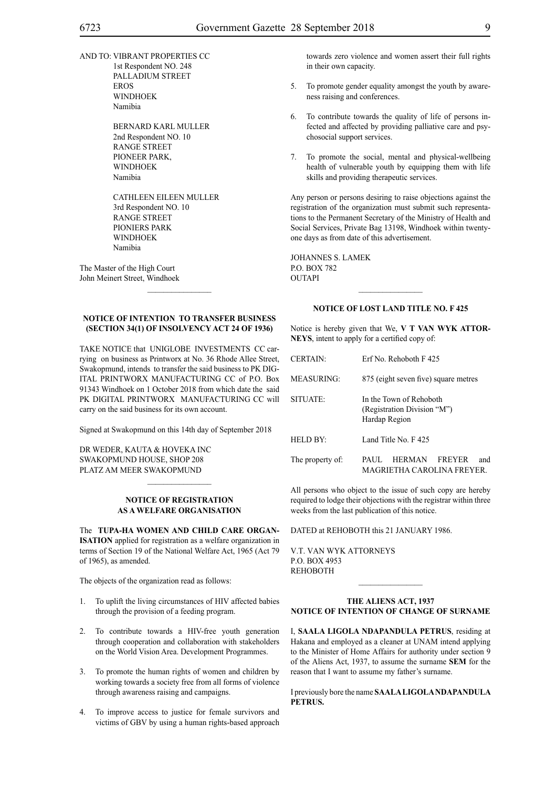AND TO: VIBRANT PROPERTIES CC 1st Respondent NO. 248 PALLADIUM STREET EROS

> WINDHOEK Namibia

BERNARD KARL MULLER 2nd Respondent NO. 10 RANGE STREET PIONEER PARK, WINDHOEK Namibia

CATHLEEN EILEEN MULLER 3rd Respondent NO. 10 RANGE STREET PIONIERS PARK WINDHOEK Namibia

The Master of the High Court John Meinert Street, Windhoek

# **NOTICE OF INTENTION TO TRANSFER BUSINESS (SECTION 34(1) OF INSOLVENCY ACT 24 OF 1936)**

 $\mathcal{L}=\mathcal{L}^{\mathcal{L}}$ 

TAKE NOTICE that UNIGLOBE INVESTMENTS CC carrying on business as Printworx at No. 36 Rhode Allee Street, Swakopmund, intends to transfer the said business to PK DIG-ITAL PRINTWORX MANUFACTURING CC of P.O. Box 91343 Windhoek on 1 October 2018 from which date the said PK DIGITAL PRINTWORX MANUFACTURING CC will carry on the said business for its own account.

Signed at Swakopmund on this 14th day of September 2018

DR WEDER, KAUTA & HOVEKA INC SWAKOPMUND HOUSE, SHOP 208 PLATZ AM MEER SWAKOPMUND

# **NOTICE OF REGISTRATION AS A WELFARE ORGANISATION**

 $\mathcal{L}=\mathcal{L}^{\mathcal{L}}$ 

The **TuPa-Ha Women and Child Care Organ-ISATION** applied for registration as a welfare organization in terms of Section 19 of the National Welfare Act, 1965 (Act 79 of 1965), as amended.

The objects of the organization read as follows:

- 1. To uplift the living circumstances of HIV affected babies through the provision of a feeding program.
- 2. To contribute towards a HIV-free youth generation through cooperation and collaboration with stakeholders on the World Vision Area. Development Programmes.
- 3. To promote the human rights of women and children by working towards a society free from all forms of violence through awareness raising and campaigns.
- 4. To improve access to justice for female survivors and victims of GBV by using a human rights-based approach

towards zero violence and women assert their full rights in their own capacity.

- 5. To promote gender equality amongst the youth by awareness raising and conferences.
- 6. To contribute towards the quality of life of persons infected and affected by providing palliative care and psychosocial support services.
- 7. To promote the social, mental and physical-wellbeing health of vulnerable youth by equipping them with life skills and providing therapeutic services.

Any person or persons desiring to raise objections against the registration of the organization must submit such representations to the Permanent Secretary of the Ministry of Health and Social Services, Private Bag 13198, Windhoek within twentyone days as from date of this advertisement.

JOHANNES S. LAMEK P.O. BOX 782 **OUTAPI** 

# **NOTICE OF LOST LAND TITLE NO. F 425**

 $\frac{1}{2}$ 

Notice is hereby given that We, **V T VAN WYK ATTOR-NEYS**, intent to apply for a certified copy of:

| <b>CERTAIN:</b>   | Erf No. Rehoboth F425                                                   |
|-------------------|-------------------------------------------------------------------------|
| <b>MEASURING:</b> | 875 (eight seven five) square metres                                    |
| SITUATE:          | In the Town of Rehoboth<br>(Registration Division "M")<br>Hardap Region |
| <b>HELD BY:</b>   | Land Title No F 425                                                     |
| The property of:  | FREYER<br>HERMAN<br>and<br>PAUL.<br>MAGRIETHA CAROLINA FREYER.          |

All persons who object to the issue of such copy are hereby required to lodge their objections with the registrar within three weeks from the last publication of this notice.

DATED at REHOBOTH this 21 JANUARY 1986.

V.T. van Wyk Attorneys P.O. Box 4953 **REHOBOTH** 

#### **THE ALIENS ACT, 1937 NOTICE OF INTENTION OF CHANGE OF SURNAME**

 $\frac{1}{2}$ 

I, **saala Ligola ndapandula petrus**, residing at Hakana and employed as a cleaner at UNAM intend applying to the Minister of Home Affairs for authority under section 9 of the Aliens Act, 1937, to assume the surname **sem** for the reason that I want to assume my father's surname.

I previously bore the name **saala Ligolandapandula petrus.**